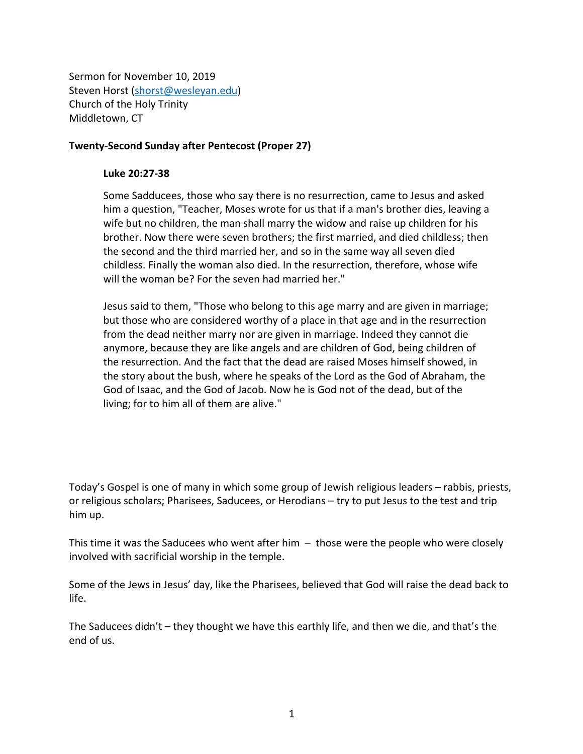Sermon for November 10, 2019 Steven Horst (shorst@wesleyan.edu) Church of the Holy Trinity Middletown, CT

## **Twenty-Second Sunday after Pentecost (Proper 27)**

## **Luke 20:27-38**

Some Sadducees, those who say there is no resurrection, came to Jesus and asked him a question, "Teacher, Moses wrote for us that if a man's brother dies, leaving a wife but no children, the man shall marry the widow and raise up children for his brother. Now there were seven brothers; the first married, and died childless; then the second and the third married her, and so in the same way all seven died childless. Finally the woman also died. In the resurrection, therefore, whose wife will the woman be? For the seven had married her."

Jesus said to them, "Those who belong to this age marry and are given in marriage; but those who are considered worthy of a place in that age and in the resurrection from the dead neither marry nor are given in marriage. Indeed they cannot die anymore, because they are like angels and are children of God, being children of the resurrection. And the fact that the dead are raised Moses himself showed, in the story about the bush, where he speaks of the Lord as the God of Abraham, the God of Isaac, and the God of Jacob. Now he is God not of the dead, but of the living; for to him all of them are alive."

Today's Gospel is one of many in which some group of Jewish religious leaders – rabbis, priests, or religious scholars; Pharisees, Saducees, or Herodians – try to put Jesus to the test and trip him up.

This time it was the Saducees who went after him  $-$  those were the people who were closely involved with sacrificial worship in the temple.

Some of the Jews in Jesus' day, like the Pharisees, believed that God will raise the dead back to life.

The Saducees didn't – they thought we have this earthly life, and then we die, and that's the end of us.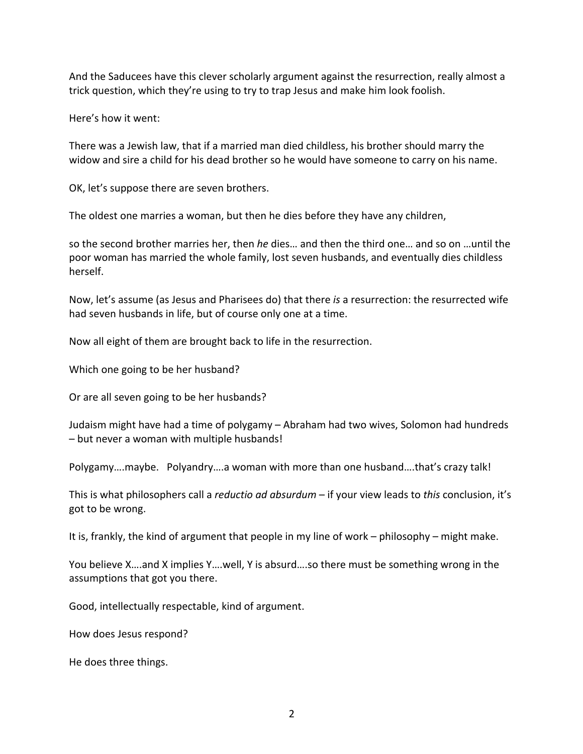And the Saducees have this clever scholarly argument against the resurrection, really almost a trick question, which they're using to try to trap Jesus and make him look foolish.

Here's how it went:

There was a Jewish law, that if a married man died childless, his brother should marry the widow and sire a child for his dead brother so he would have someone to carry on his name.

OK, let's suppose there are seven brothers.

The oldest one marries a woman, but then he dies before they have any children,

so the second brother marries her, then *he* dies… and then the third one… and so on …until the poor woman has married the whole family, lost seven husbands, and eventually dies childless herself.

Now, let's assume (as Jesus and Pharisees do) that there *is* a resurrection: the resurrected wife had seven husbands in life, but of course only one at a time.

Now all eight of them are brought back to life in the resurrection.

Which one going to be her husband?

Or are all seven going to be her husbands?

Judaism might have had a time of polygamy – Abraham had two wives, Solomon had hundreds – but never a woman with multiple husbands!

Polygamy….maybe. Polyandry….a woman with more than one husband….that's crazy talk!

This is what philosophers call a *reductio ad absurdum* – if your view leads to *this* conclusion, it's got to be wrong.

It is, frankly, the kind of argument that people in my line of work – philosophy – might make.

You believe X….and X implies Y….well, Y is absurd….so there must be something wrong in the assumptions that got you there.

Good, intellectually respectable, kind of argument.

How does Jesus respond?

He does three things.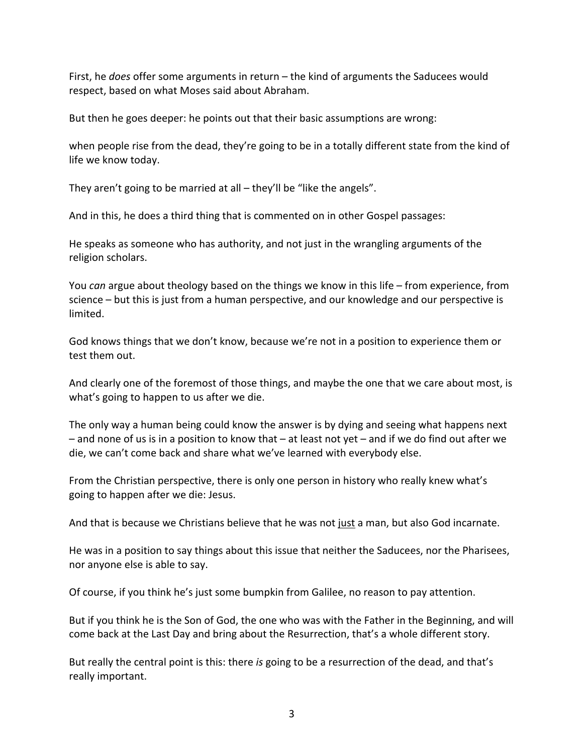First, he *does* offer some arguments in return – the kind of arguments the Saducees would respect, based on what Moses said about Abraham.

But then he goes deeper: he points out that their basic assumptions are wrong:

when people rise from the dead, they're going to be in a totally different state from the kind of life we know today.

They aren't going to be married at all – they'll be "like the angels".

And in this, he does a third thing that is commented on in other Gospel passages:

He speaks as someone who has authority, and not just in the wrangling arguments of the religion scholars.

You *can* argue about theology based on the things we know in this life – from experience, from science – but this is just from a human perspective, and our knowledge and our perspective is limited.

God knows things that we don't know, because we're not in a position to experience them or test them out.

And clearly one of the foremost of those things, and maybe the one that we care about most, is what's going to happen to us after we die.

The only way a human being could know the answer is by dying and seeing what happens next – and none of us is in a position to know that – at least not yet – and if we do find out after we die, we can't come back and share what we've learned with everybody else.

From the Christian perspective, there is only one person in history who really knew what's going to happen after we die: Jesus.

And that is because we Christians believe that he was not just a man, but also God incarnate.

He was in a position to say things about this issue that neither the Saducees, nor the Pharisees, nor anyone else is able to say.

Of course, if you think he's just some bumpkin from Galilee, no reason to pay attention.

But if you think he is the Son of God, the one who was with the Father in the Beginning, and will come back at the Last Day and bring about the Resurrection, that's a whole different story.

But really the central point is this: there *is* going to be a resurrection of the dead, and that's really important.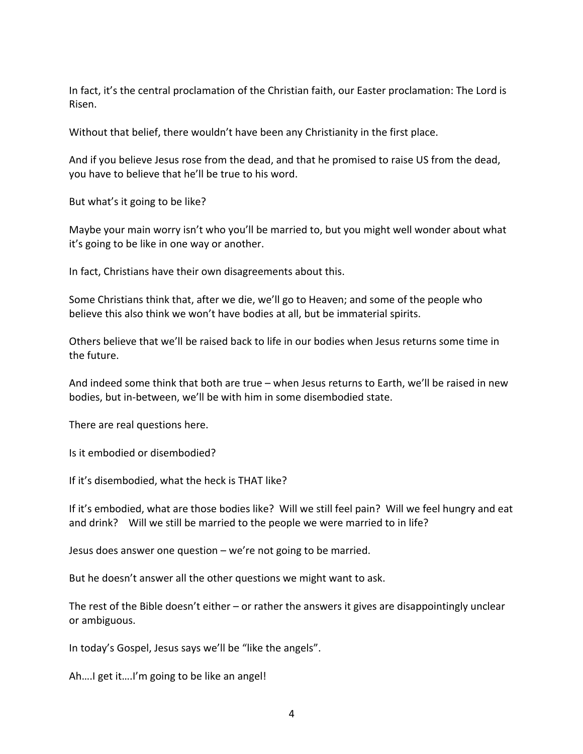In fact, it's the central proclamation of the Christian faith, our Easter proclamation: The Lord is Risen.

Without that belief, there wouldn't have been any Christianity in the first place.

And if you believe Jesus rose from the dead, and that he promised to raise US from the dead, you have to believe that he'll be true to his word.

But what's it going to be like?

Maybe your main worry isn't who you'll be married to, but you might well wonder about what it's going to be like in one way or another.

In fact, Christians have their own disagreements about this.

Some Christians think that, after we die, we'll go to Heaven; and some of the people who believe this also think we won't have bodies at all, but be immaterial spirits.

Others believe that we'll be raised back to life in our bodies when Jesus returns some time in the future.

And indeed some think that both are true – when Jesus returns to Earth, we'll be raised in new bodies, but in-between, we'll be with him in some disembodied state.

There are real questions here.

Is it embodied or disembodied?

If it's disembodied, what the heck is THAT like?

If it's embodied, what are those bodies like? Will we still feel pain? Will we feel hungry and eat and drink? Will we still be married to the people we were married to in life?

Jesus does answer one question – we're not going to be married.

But he doesn't answer all the other questions we might want to ask.

The rest of the Bible doesn't either – or rather the answers it gives are disappointingly unclear or ambiguous.

In today's Gospel, Jesus says we'll be "like the angels".

Ah….I get it….I'm going to be like an angel!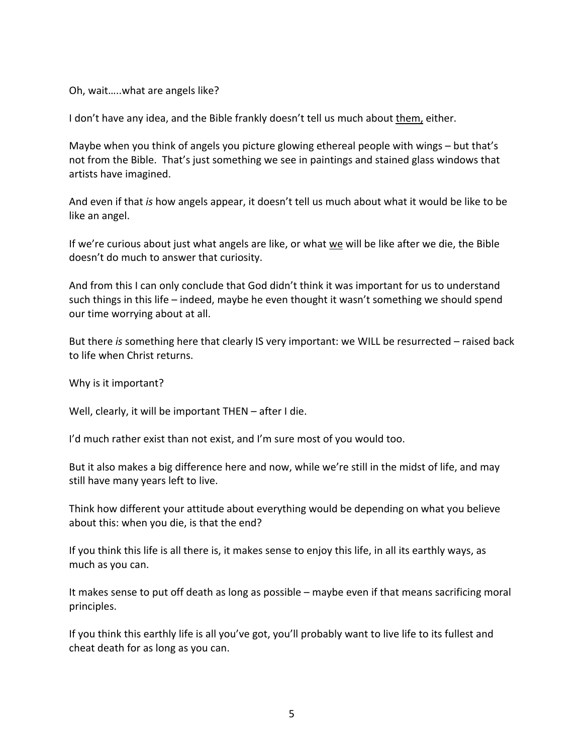Oh, wait…..what are angels like?

I don't have any idea, and the Bible frankly doesn't tell us much about them, either.

Maybe when you think of angels you picture glowing ethereal people with wings – but that's not from the Bible. That's just something we see in paintings and stained glass windows that artists have imagined.

And even if that *is* how angels appear, it doesn't tell us much about what it would be like to be like an angel.

If we're curious about just what angels are like, or what we will be like after we die, the Bible doesn't do much to answer that curiosity.

And from this I can only conclude that God didn't think it was important for us to understand such things in this life – indeed, maybe he even thought it wasn't something we should spend our time worrying about at all.

But there *is* something here that clearly IS very important: we WILL be resurrected – raised back to life when Christ returns.

Why is it important?

Well, clearly, it will be important THEN – after I die.

I'd much rather exist than not exist, and I'm sure most of you would too.

But it also makes a big difference here and now, while we're still in the midst of life, and may still have many years left to live.

Think how different your attitude about everything would be depending on what you believe about this: when you die, is that the end?

If you think this life is all there is, it makes sense to enjoy this life, in all its earthly ways, as much as you can.

It makes sense to put off death as long as possible – maybe even if that means sacrificing moral principles.

If you think this earthly life is all you've got, you'll probably want to live life to its fullest and cheat death for as long as you can.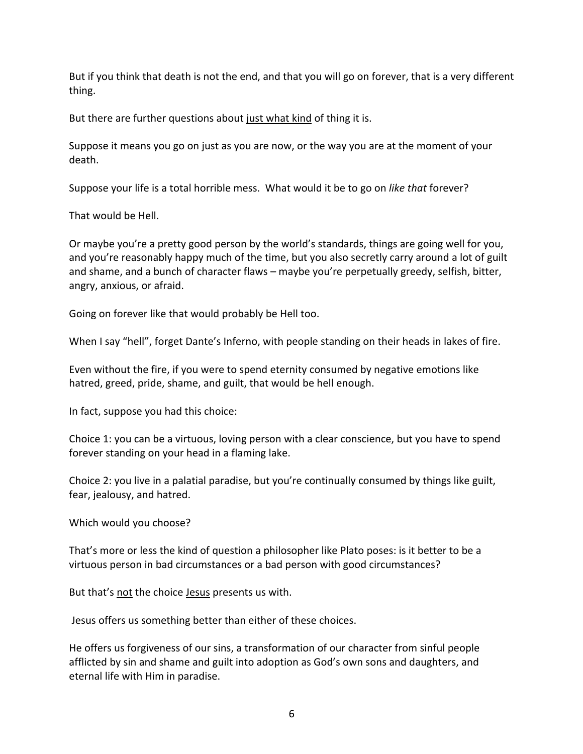But if you think that death is not the end, and that you will go on forever, that is a very different thing.

But there are further questions about just what kind of thing it is.

Suppose it means you go on just as you are now, or the way you are at the moment of your death.

Suppose your life is a total horrible mess. What would it be to go on *like that* forever?

That would be Hell.

Or maybe you're a pretty good person by the world's standards, things are going well for you, and you're reasonably happy much of the time, but you also secretly carry around a lot of guilt and shame, and a bunch of character flaws – maybe you're perpetually greedy, selfish, bitter, angry, anxious, or afraid.

Going on forever like that would probably be Hell too.

When I say "hell", forget Dante's Inferno, with people standing on their heads in lakes of fire.

Even without the fire, if you were to spend eternity consumed by negative emotions like hatred, greed, pride, shame, and guilt, that would be hell enough.

In fact, suppose you had this choice:

Choice 1: you can be a virtuous, loving person with a clear conscience, but you have to spend forever standing on your head in a flaming lake.

Choice 2: you live in a palatial paradise, but you're continually consumed by things like guilt, fear, jealousy, and hatred.

Which would you choose?

That's more or less the kind of question a philosopher like Plato poses: is it better to be a virtuous person in bad circumstances or a bad person with good circumstances?

But that's not the choice Jesus presents us with.

Jesus offers us something better than either of these choices.

He offers us forgiveness of our sins, a transformation of our character from sinful people afflicted by sin and shame and guilt into adoption as God's own sons and daughters, and eternal life with Him in paradise.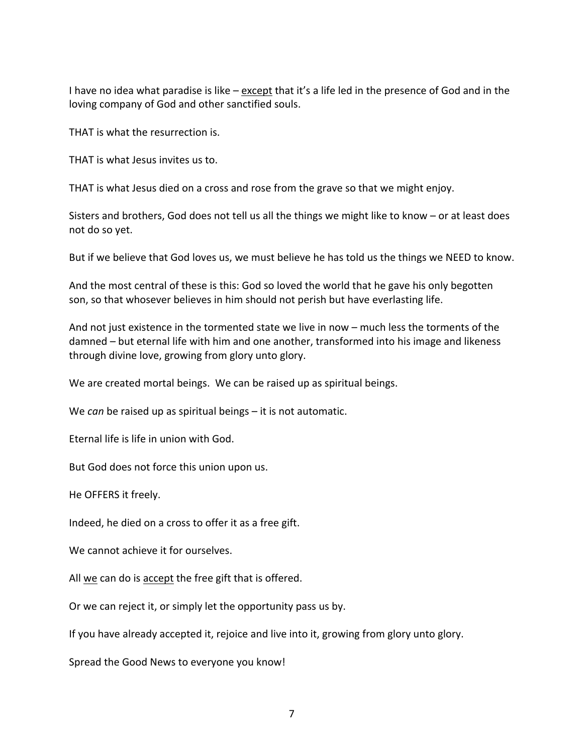I have no idea what paradise is like – except that it's a life led in the presence of God and in the loving company of God and other sanctified souls.

THAT is what the resurrection is.

THAT is what Jesus invites us to.

THAT is what Jesus died on a cross and rose from the grave so that we might enjoy.

Sisters and brothers, God does not tell us all the things we might like to know – or at least does not do so yet.

But if we believe that God loves us, we must believe he has told us the things we NEED to know.

And the most central of these is this: God so loved the world that he gave his only begotten son, so that whosever believes in him should not perish but have everlasting life.

And not just existence in the tormented state we live in now – much less the torments of the damned – but eternal life with him and one another, transformed into his image and likeness through divine love, growing from glory unto glory.

We are created mortal beings. We can be raised up as spiritual beings.

We *can* be raised up as spiritual beings – it is not automatic.

Eternal life is life in union with God.

But God does not force this union upon us.

He OFFERS it freely.

Indeed, he died on a cross to offer it as a free gift.

We cannot achieve it for ourselves.

All we can do is accept the free gift that is offered.

Or we can reject it, or simply let the opportunity pass us by.

If you have already accepted it, rejoice and live into it, growing from glory unto glory.

Spread the Good News to everyone you know!